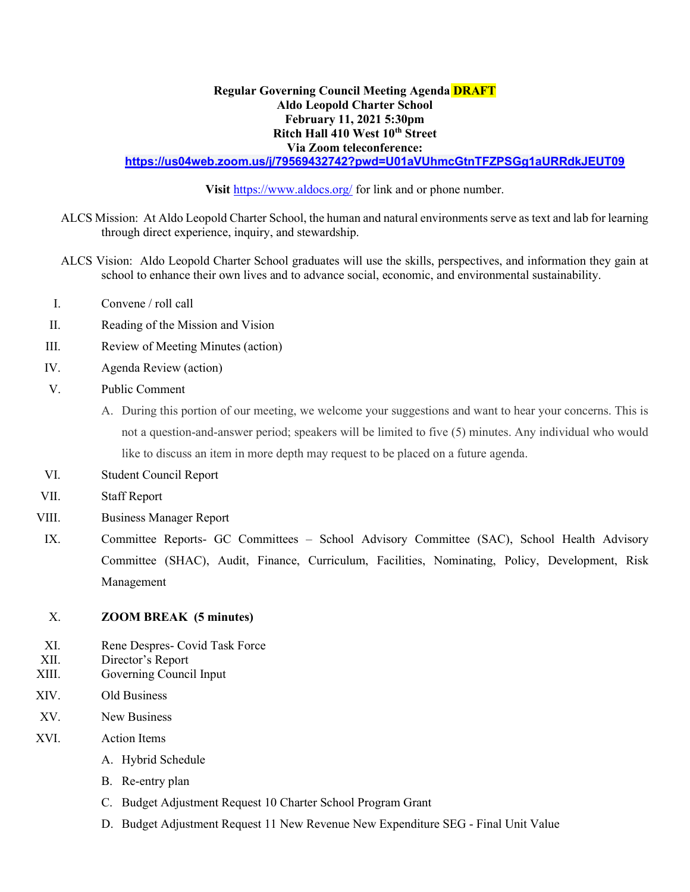## Regular Governing Council Meeting Agenda **DRAFT** Aldo Leopold Charter School February 11, 2021 5:30pm Ritch Hall 410 West 10th Street Via Zoom teleconference:

## https://us04web.zoom.us/j/79569432742?pwd=U01aVUhmcGtnTFZPSGg1aURRdkJEUT09

Visit https://www.aldocs.org/ for link and or phone number.

- ALCS Mission: At Aldo Leopold Charter School, the human and natural environments serve as text and lab for learning through direct experience, inquiry, and stewardship.
- ALCS Vision: Aldo Leopold Charter School graduates will use the skills, perspectives, and information they gain at school to enhance their own lives and to advance social, economic, and environmental sustainability.
- I. Convene / roll call
- II. Reading of the Mission and Vision
- III. Review of Meeting Minutes (action)
- IV. Agenda Review (action)
- V. Public Comment
	- A. During this portion of our meeting, we welcome your suggestions and want to hear your concerns. This is not a question-and-answer period; speakers will be limited to five (5) minutes. Any individual who would like to discuss an item in more depth may request to be placed on a future agenda.
- VI. Student Council Report
- VII. Staff Report
- VIII. Business Manager Report
- IX. Committee Reports- GC Committees School Advisory Committee (SAC), School Health Advisory Committee (SHAC), Audit, Finance, Curriculum, Facilities, Nominating, Policy, Development, Risk Management

## X. ZOOM BREAK (5 minutes)

- XI. Rene Despres- Covid Task Force
- XII. Director's Report
- XIII. Governing Council Input
- XIV. Old Business
- XV. New Business
- XVI. Action Items
	- A. Hybrid Schedule
	- B. Re-entry plan
	- C. Budget Adjustment Request 10 Charter School Program Grant
	- D. Budget Adjustment Request 11 New Revenue New Expenditure SEG Final Unit Value